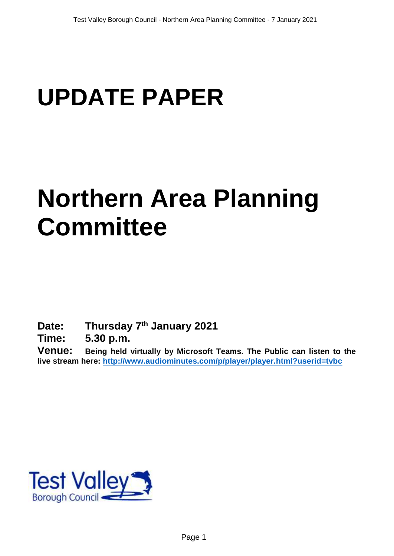# **UPDATE PAPER**

## **Northern Area Planning Committee**

**Date: Thursday 7 th January 2021**

**Time: 5.30 p.m.**

**Venue: Being held virtually by Microsoft Teams. The Public can listen to the live stream here:<http://www.audiominutes.com/p/player/player.html?userid=tvbc>**

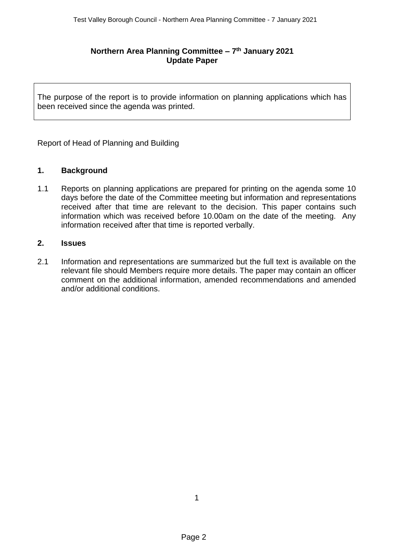#### **Northern Area Planning Committee – 7 th January 2021 Update Paper**

The purpose of the report is to provide information on planning applications which has been received since the agenda was printed.

Report of Head of Planning and Building

#### **1. Background**

1.1 Reports on planning applications are prepared for printing on the agenda some 10 days before the date of the Committee meeting but information and representations received after that time are relevant to the decision. This paper contains such information which was received before 10.00am on the date of the meeting. Any information received after that time is reported verbally.

#### **2. Issues**

2.1 Information and representations are summarized but the full text is available on the relevant file should Members require more details. The paper may contain an officer comment on the additional information, amended recommendations and amended and/or additional conditions.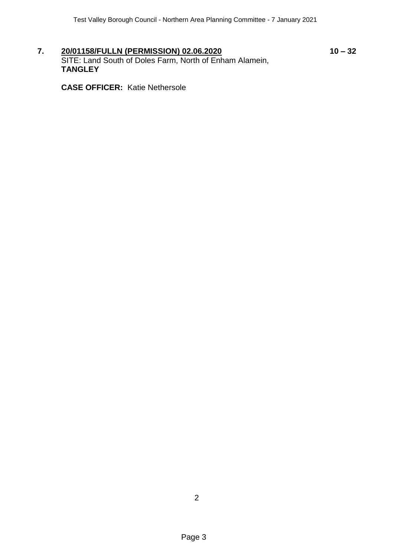**7. 20/01158/FULLN (PERMISSION) 02.06.2020 10 – 32** SITE: Land South of Doles Farm, North of Enham Alamein, **TANGLEY**

**CASE OFFICER:** Katie Nethersole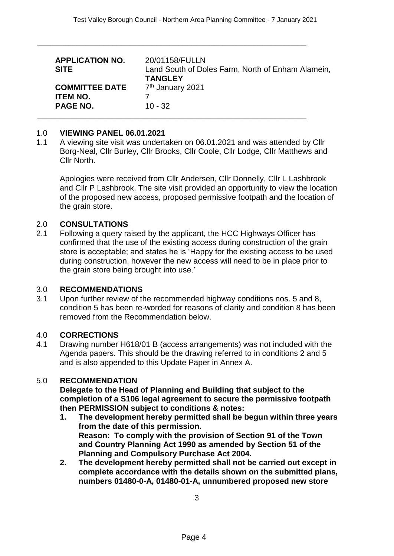\_\_\_\_\_\_\_\_\_\_\_\_\_\_\_\_\_\_\_\_\_\_\_\_\_\_\_\_\_\_\_\_\_\_\_\_\_\_\_\_\_\_\_\_\_\_\_\_\_\_\_\_\_\_\_\_\_\_\_\_\_

| <b>APPLICATION NO.</b><br><b>SITE</b>                       | 20/01158/FULLN<br>Land South of Doles Farm, North of Enham Alamein,<br><b>TANGLEY</b> |
|-------------------------------------------------------------|---------------------------------------------------------------------------------------|
| <b>COMMITTEE DATE</b><br><b>ITEM NO.</b><br><b>PAGE NO.</b> | 7 <sup>th</sup> January 2021<br>$10 - 32$                                             |

#### 1.0 **VIEWING PANEL 06.01.2021**

1.1 A viewing site visit was undertaken on 06.01.2021 and was attended by Cllr Borg-Neal, Cllr Burley, Cllr Brooks, Cllr Coole, Cllr Lodge, Cllr Matthews and Cllr North.

Apologies were received from Cllr Andersen, Cllr Donnelly, Cllr L Lashbrook and Cllr P Lashbrook. The site visit provided an opportunity to view the location of the proposed new access, proposed permissive footpath and the location of the grain store.

#### 2.0 **CONSULTATIONS**

2.1 Following a query raised by the applicant, the HCC Highways Officer has confirmed that the use of the existing access during construction of the grain store is acceptable; and states he is 'Happy for the existing access to be used during construction, however the new access will need to be in place prior to the grain store being brought into use.'

#### 3.0 **RECOMMENDATIONS**

3.1 Upon further review of the recommended highway conditions nos. 5 and 8, condition 5 has been re-worded for reasons of clarity and condition 8 has been removed from the Recommendation below.

#### 4.0 **CORRECTIONS**

4.1 Drawing number H618/01 B (access arrangements) was not included with the Agenda papers. This should be the drawing referred to in conditions 2 and 5 and is also appended to this Update Paper in Annex A.

#### 5.0 **RECOMMENDATION**

**Delegate to the Head of Planning and Building that subject to the completion of a S106 legal agreement to secure the permissive footpath then PERMISSION subject to conditions & notes:**

- **1. The development hereby permitted shall be begun within three years from the date of this permission. Reason: To comply with the provision of Section 91 of the Town and Country Planning Act 1990 as amended by Section 51 of the Planning and Compulsory Purchase Act 2004.**
- **2. The development hereby permitted shall not be carried out except in complete accordance with the details shown on the submitted plans, numbers 01480-0-A, 01480-01-A, unnumbered proposed new store**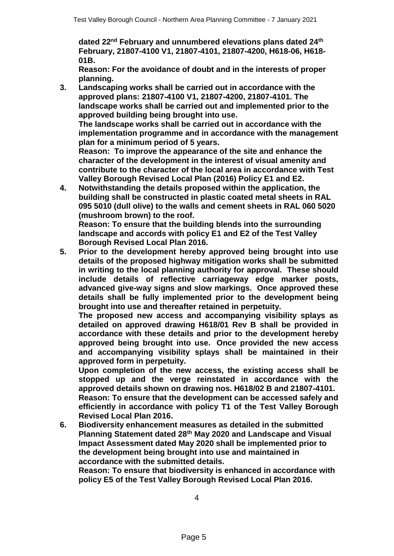**dated 22nd February and unnumbered elevations plans dated 24th February, 21807-4100 V1, 21807-4101, 21807-4200, H618-06, H618- 01B.**

**Reason: For the avoidance of doubt and in the interests of proper planning.**

**3. Landscaping works shall be carried out in accordance with the approved plans: 21807-4100 V1, 21807-4200, 21807-4101. The landscape works shall be carried out and implemented prior to the approved building being brought into use.**

**The landscape works shall be carried out in accordance with the implementation programme and in accordance with the management plan for a minimum period of 5 years.**

**Reason: To improve the appearance of the site and enhance the character of the development in the interest of visual amenity and contribute to the character of the local area in accordance with Test Valley Borough Revised Local Plan (2016) Policy E1 and E2.**

**4. Notwithstanding the details proposed within the application, the building shall be constructed in plastic coated metal sheets in RAL 095 5010 (dull olive) to the walls and cement sheets in RAL 060 5020 (mushroom brown) to the roof.**

**Reason: To ensure that the building blends into the surrounding landscape and accords with policy E1 and E2 of the Test Valley Borough Revised Local Plan 2016.**

**5. Prior to the development hereby approved being brought into use details of the proposed highway mitigation works shall be submitted in writing to the local planning authority for approval. These should include details of reflective carriageway edge marker posts, advanced give-way signs and slow markings. Once approved these details shall be fully implemented prior to the development being brought into use and thereafter retained in perpetuity.** 

**The proposed new access and accompanying visibility splays as detailed on approved drawing H618/01 Rev B shall be provided in accordance with these details and prior to the development hereby approved being brought into use. Once provided the new access and accompanying visibility splays shall be maintained in their approved form in perpetuity.**

**Upon completion of the new access, the existing access shall be stopped up and the verge reinstated in accordance with the approved details shown on drawing nos. H618/02 B and 21807-4101. Reason: To ensure that the development can be accessed safely and efficiently in accordance with policy T1 of the Test Valley Borough Revised Local Plan 2016.**

**6. Biodiversity enhancement measures as detailed in the submitted Planning Statement dated 28th May 2020 and Landscape and Visual Impact Assessment dated May 2020 shall be implemented prior to the development being brought into use and maintained in accordance with the submitted details.**

**Reason: To ensure that biodiversity is enhanced in accordance with policy E5 of the Test Valley Borough Revised Local Plan 2016.**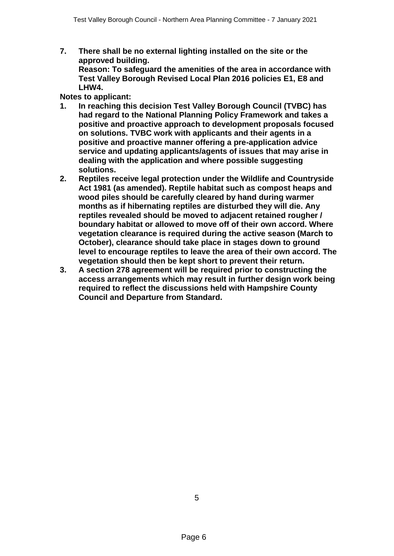**7. There shall be no external lighting installed on the site or the approved building. Reason: To safeguard the amenities of the area in accordance with Test Valley Borough Revised Local Plan 2016 policies E1, E8 and** 

**LHW4. Notes to applicant:**

- **1. In reaching this decision Test Valley Borough Council (TVBC) has had regard to the National Planning Policy Framework and takes a positive and proactive approach to development proposals focused on solutions. TVBC work with applicants and their agents in a positive and proactive manner offering a pre-application advice service and updating applicants/agents of issues that may arise in dealing with the application and where possible suggesting solutions.**
- **2. Reptiles receive legal protection under the Wildlife and Countryside Act 1981 (as amended). Reptile habitat such as compost heaps and wood piles should be carefully cleared by hand during warmer months as if hibernating reptiles are disturbed they will die. Any reptiles revealed should be moved to adjacent retained rougher / boundary habitat or allowed to move off of their own accord. Where vegetation clearance is required during the active season (March to October), clearance should take place in stages down to ground level to encourage reptiles to leave the area of their own accord. The vegetation should then be kept short to prevent their return.**
- **3. A section 278 agreement will be required prior to constructing the access arrangements which may result in further design work being required to reflect the discussions held with Hampshire County Council and Departure from Standard.**